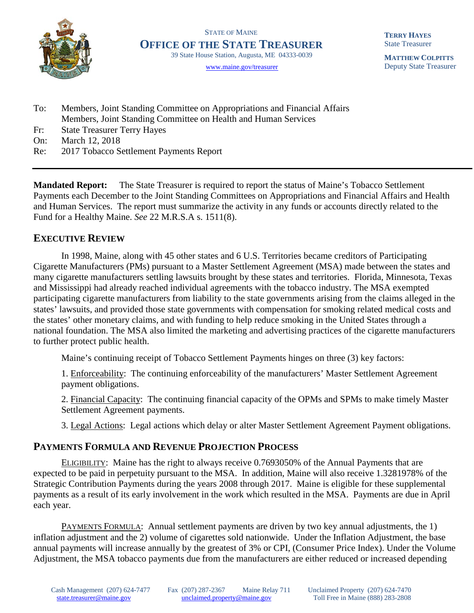

STATE OF MAINE **OFFICE OF THE STATE TREASURER**39 State House Station, Augusta, ME 04333-0039

[www.maine.gov/treasurer](http://www.maine.gov/treasurer) 

**TERRY HAYES** State Treasurer

**MATTHEW COLPITTS** Deputy State Treasurer

- To: Members, Joint Standing Committee on Appropriations and Financial Affairs Members, Joint Standing Committee on Health and Human Services
- Fr: State Treasurer Terry Hayes
- On: March 12, 2018
- Re: 2017 Tobacco Settlement Payments Report

**Mandated Report:** The State Treasurer is required to report the status of Maine's Tobacco Settlement Payments each December to the Joint Standing Committees on Appropriations and Financial Affairs and Health and Human Services. The report must summarize the activity in any funds or accounts directly related to the Fund for a Healthy Maine. *See* 22 M.R.S.A s. 1511(8).

## **EXECUTIVE REVIEW**

In 1998, Maine, along with 45 other states and 6 U.S. Territories became creditors of Participating Cigarette Manufacturers (PMs) pursuant to a Master Settlement Agreement (MSA) made between the states and many cigarette manufacturers settling lawsuits brought by these states and territories. Florida, Minnesota, Texas and Mississippi had already reached individual agreements with the tobacco industry. The MSA exempted participating cigarette manufacturers from liability to the state governments arising from the claims alleged in the states' lawsuits, and provided those state governments with compensation for smoking related medical costs and the states' other monetary claims, and with funding to help reduce smoking in the United States through a national foundation. The MSA also limited the marketing and advertising practices of the cigarette manufacturers to further protect public health.

Maine's continuing receipt of Tobacco Settlement Payments hinges on three (3) key factors:

1. Enforceability: The continuing enforceability of the manufacturers' Master Settlement Agreement payment obligations.

2. Financial Capacity: The continuing financial capacity of the OPMs and SPMs to make timely Master Settlement Agreement payments.

3. Legal Actions: Legal actions which delay or alter Master Settlement Agreement Payment obligations.

## **PAYMENTS FORMULA AND REVENUE PROJECTION PROCESS**

ELIGIBILITY: Maine has the right to always receive 0.7693050% of the Annual Payments that are expected to be paid in perpetuity pursuant to the MSA. In addition, Maine will also receive 1.3281978% of the Strategic Contribution Payments during the years 2008 through 2017. Maine is eligible for these supplemental payments as a result of its early involvement in the work which resulted in the MSA. Payments are due in April each year.

PAYMENTS FORMULA: Annual settlement payments are driven by two key annual adjustments, the 1) inflation adjustment and the 2) volume of cigarettes sold nationwide. Under the Inflation Adjustment, the base annual payments will increase annually by the greatest of 3% or CPI, (Consumer Price Index). Under the Volume Adjustment, the MSA tobacco payments due from the manufacturers are either reduced or increased depending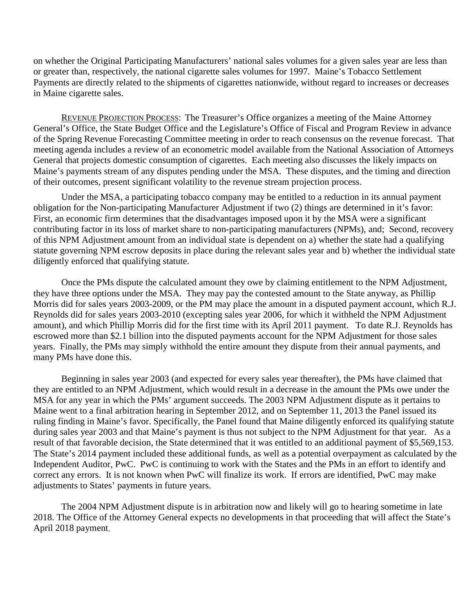on whether the Original Participating Manufacturers' national sales volumes for a given sales year are less than or greater than, respectively, the national cigarette sales volumes for 1997. Maine's Tobacco Settlement Payments are directly related to the shipments of cigarettes nationwide, without regard to increases or decreases in Maine cigarette sales.

REVENUE PROJECTION PROCESS: The Treasurer's Office organizes a meeting of the Maine Attorney General's Office, the State Budget Office and the Legislature's Office of Fiscal and Program Review in advance of the Spring Revenue Forecasting Committee meeting in order to reach consensus on the revenue forecast. That meeting agenda includes a review of an econometric model available from the National Association of Attorneys General that projects domestic consumption of cigarettes. Each meeting also discusses the likely impacts on Maine's payments stream of any disputes pending under the MSA. These disputes, and the timing and direction of their outcomes, present significant volatility to the revenue stream projection process.

Under the MSA, a participating tobacco company may be entitled to a reduction in its annual payment obligation for the Non-participating Manufacturer Adjustment if two (2) things are determined in it's favor: First, an economic firm determines that the disadvantages imposed upon it by the MSA were a significant contributing factor in its loss of market share to non-participating manufacturers (NPMs), and; Second, recovery of this NPM Adjustment amount from an individual state is dependent on a) whether the state had a qualifying statute governing NPM escrow deposits in place during the relevant sales year and b) whether the individual state diligently enforced that qualifying statute.

Once the PMs dispute the calculated amount they owe by claiming entitlement to the NPM Adjustment, they have three options under the MSA. They may pay the contested amount to the State anyway, as Phillip Morris did for sales years 2003-2009, or the PM may place the amount in a disputed payment account, which R.J. Reynolds did for sales years 2003-2010 (excepting sales year 2006, for which it withheld the NPM Adjustment amount), and which Phillip Morris did for the first time with its April 2011 payment. To date R.J. Reynolds has escrowed more than \$2.1 billion into the disputed payments account for the NPM Adjustment for those sales years. Finally, the PMs may simply withhold the entire amount they dispute from their annual payments, and many PMs have done this.

Beginning in sales year 2003 (and expected for every sales year thereafter), the PMs have claimed that they are entitled to an NPM Adjustment, which would result in a decrease in the amount the PMs owe under the MSA for any year in which the PMs' argument succeeds. The 2003 NPM Adjustment dispute as it pertains to Maine went to a final arbitration hearing in September 2012, and on September 11, 2013 the Panel issued its ruling finding in Maine's favor. Specifically, the Panel found that Maine diligently enforced its qualifying statute during sales year 2003 and that Maine's payment is thus not subject to the NPM Adjustment for that year. As a result of that favorable decision, the State determined that it was entitled to an additional payment of \$5,569,153. The State's 2014 payment included these additional funds, as well as a potential overpayment as calculated by the Independent Auditor, PwC. PwC is continuing to work with the States and the PMs in an effort to identify and correct any errors. It is not known when PwC will finalize its work. If errors are identified, PwC may make adjustments to States' payments in future years.

The 2004 NPM Adjustment dispute is in arbitration now and likely will go to hearing sometime in late 2018. The Office of the Attorney General expects no developments in that proceeding that will affect the State's April 2018 payment.